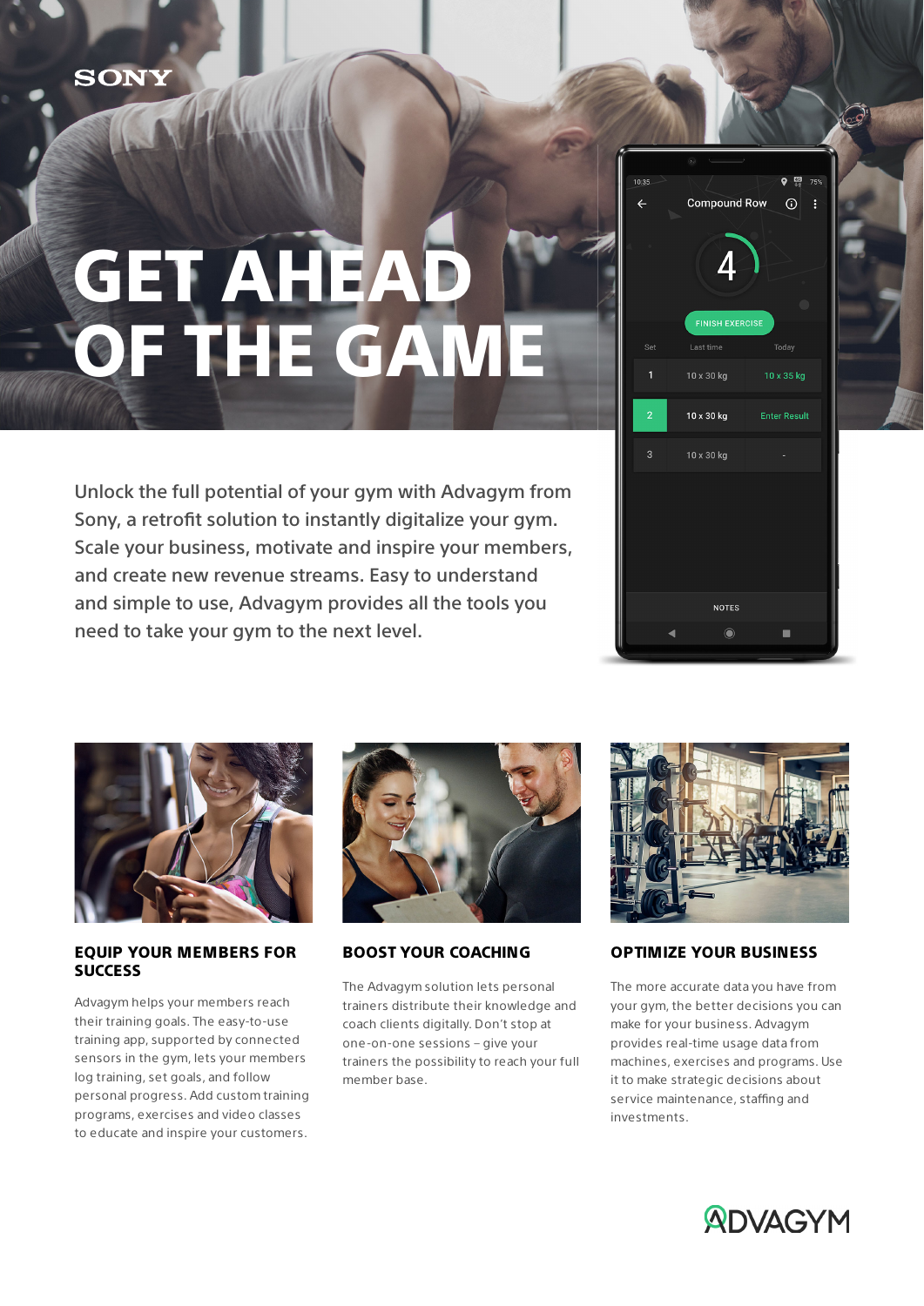# GET AHEAD OF THE GAME

Unlock the full potential of your gym with Advagym from Sony, a retrofit solution to instantly digitalize your gym. Scale your business, motivate and inspire your members, and create new revenue streams. Easy to understand and simple to use, Advagym provides all the tools you need to take your gym to the next level.





#### EQUIP YOUR MEMBERS FOR **SUCCESS**

Advagym helps your members reach their training goals. The easy-to-use training app, supported by connected sensors in the gym, lets your members log training, set goals, and follow personal progress. Add custom training programs, exercises and video classes to educate and inspire your customers.



### BOOST YOUR COACHING

The Advagym solution lets personal trainers distribute their knowledge and coach clients digitally. Don't stop at one-on-one sessions – give your trainers the possibility to reach your full member base.



### OPTIMIZE YOUR BUSINESS

The more accurate data you have from your gym, the better decisions you can make for your business. Advagym provides real-time usage data from machines, exercises and programs. Use it to make strategic decisions about service maintenance, staffing and investments.